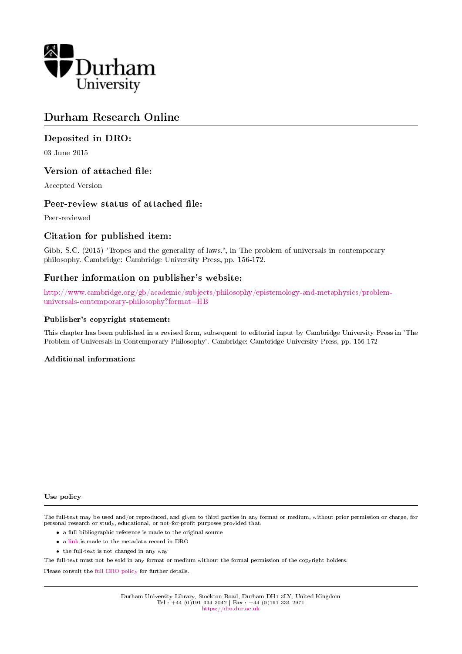

# Durham Research Online

# Deposited in DRO:

03 June 2015

# Version of attached file:

Accepted Version

# Peer-review status of attached file:

Peer-reviewed

# Citation for published item:

Gibb, S.C. (2015) 'Tropes and the generality of laws.', in The problem of universals in contemporary philosophy. Cambridge: Cambridge University Press, pp. 156-172.

# Further information on publisher's website:

[http://www.cambridge.org/gb/academic/subjects/philosophy/epistemology-and-metaphysics/problem](http://www.cambridge.org/gb/academic/subjects/philosophy/epistemology-and-metaphysics/problem-universals-contemporary-philosophy?format=HB)[universals-contemporary-philosophy?format=HB](http://www.cambridge.org/gb/academic/subjects/philosophy/epistemology-and-metaphysics/problem-universals-contemporary-philosophy?format=HB)

### Publisher's copyright statement:

This chapter has been published in a revised form, subsequent to editorial input by Cambridge University Press in 'The Problem of Universals in Contemporary Philosophy'. Cambridge: Cambridge University Press, pp. 156-172

### Additional information:

#### Use policy

The full-text may be used and/or reproduced, and given to third parties in any format or medium, without prior permission or charge, for personal research or study, educational, or not-for-profit purposes provided that:

- a full bibliographic reference is made to the original source
- a [link](http://dro.dur.ac.uk/15628/) is made to the metadata record in DRO
- the full-text is not changed in any way

The full-text must not be sold in any format or medium without the formal permission of the copyright holders.

Please consult the [full DRO policy](https://dro.dur.ac.uk/policies/usepolicy.pdf) for further details.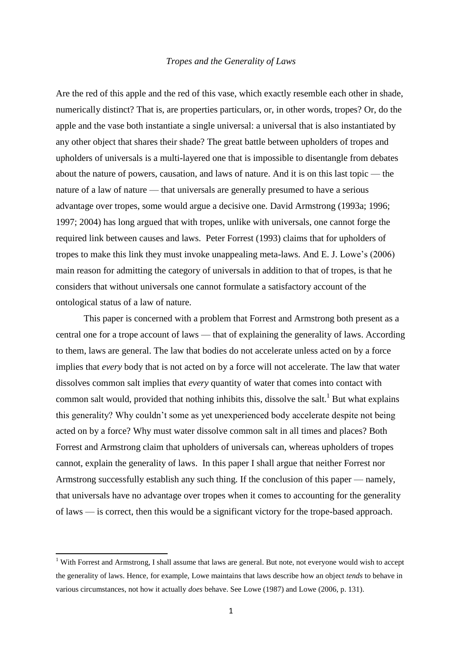### *Tropes and the Generality of Laws*

Are the red of this apple and the red of this vase, which exactly resemble each other in shade, numerically distinct? That is, are properties particulars, or, in other words, tropes? Or, do the apple and the vase both instantiate a single universal: a universal that is also instantiated by any other object that shares their shade? The great battle between upholders of tropes and upholders of universals is a multi-layered one that is impossible to disentangle from debates about the nature of powers, causation, and laws of nature. And it is on this last topic — the nature of a law of nature — that universals are generally presumed to have a serious advantage over tropes, some would argue a decisive one. David Armstrong (1993a; 1996; 1997; 2004) has long argued that with tropes, unlike with universals, one cannot forge the required link between causes and laws. Peter Forrest (1993) claims that for upholders of tropes to make this link they must invoke unappealing meta-laws. And E. J. Lowe's (2006) main reason for admitting the category of universals in addition to that of tropes, is that he considers that without universals one cannot formulate a satisfactory account of the ontological status of a law of nature.

This paper is concerned with a problem that Forrest and Armstrong both present as a central one for a trope account of laws — that of explaining the generality of laws. According to them, laws are general. The law that bodies do not accelerate unless acted on by a force implies that *every* body that is not acted on by a force will not accelerate. The law that water dissolves common salt implies that *every* quantity of water that comes into contact with common salt would, provided that nothing inhibits this, dissolve the salt.<sup>1</sup> But what explains this generality? Why couldn't some as yet unexperienced body accelerate despite not being acted on by a force? Why must water dissolve common salt in all times and places? Both Forrest and Armstrong claim that upholders of universals can, whereas upholders of tropes cannot, explain the generality of laws. In this paper I shall argue that neither Forrest nor Armstrong successfully establish any such thing. If the conclusion of this paper — namely, that universals have no advantage over tropes when it comes to accounting for the generality of laws — is correct, then this would be a significant victory for the trope-based approach.

<sup>&</sup>lt;sup>1</sup> With Forrest and Armstrong, I shall assume that laws are general. But note, not everyone would wish to accept the generality of laws. Hence, for example, Lowe maintains that laws describe how an object *tends* to behave in various circumstances, not how it actually *does* behave. See Lowe (1987) and Lowe (2006, p. 131).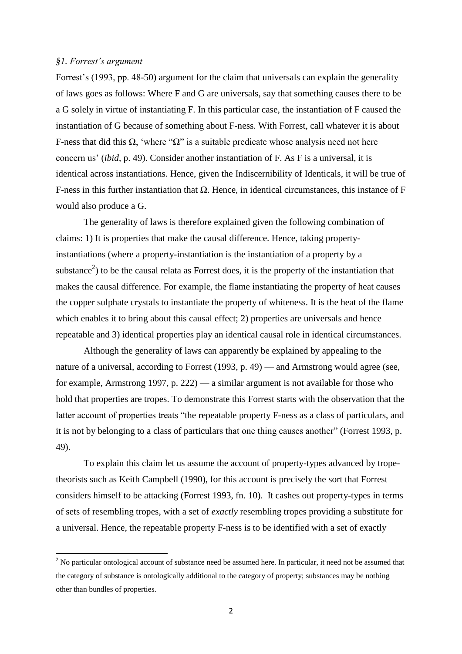### *§1. Forrest's argument*

1

Forrest's (1993, pp. 48-50) argument for the claim that universals can explain the generality of laws goes as follows: Where F and G are universals, say that something causes there to be a G solely in virtue of instantiating F. In this particular case, the instantiation of F caused the instantiation of G because of something about F-ness. With Forrest, call whatever it is about F-ness that did this  $\Omega$ , 'where " $\Omega$ " is a suitable predicate whose analysis need not here concern us' (*ibid*, p. 49). Consider another instantiation of F. As F is a universal, it is identical across instantiations. Hence, given the Indiscernibility of Identicals, it will be true of F-ness in this further instantiation that  $\Omega$ . Hence, in identical circumstances, this instance of F would also produce a G.

The generality of laws is therefore explained given the following combination of claims: 1) It is properties that make the causal difference. Hence, taking propertyinstantiations (where a property-instantiation is the instantiation of a property by a substance<sup>2</sup>) to be the causal relata as Forrest does, it is the property of the instantiation that makes the causal difference. For example, the flame instantiating the property of heat causes the copper sulphate crystals to instantiate the property of whiteness. It is the heat of the flame which enables it to bring about this causal effect; 2) properties are universals and hence repeatable and 3) identical properties play an identical causal role in identical circumstances.

Although the generality of laws can apparently be explained by appealing to the nature of a universal, according to Forrest (1993, p. 49) — and Armstrong would agree (see, for example, Armstrong 1997, p. 222) — a similar argument is not available for those who hold that properties are tropes. To demonstrate this Forrest starts with the observation that the latter account of properties treats "the repeatable property F-ness as a class of particulars, and it is not by belonging to a class of particulars that one thing causes another" (Forrest 1993, p. 49).

To explain this claim let us assume the account of property-types advanced by tropetheorists such as Keith Campbell (1990), for this account is precisely the sort that Forrest considers himself to be attacking (Forrest 1993, fn. 10). It cashes out property-types in terms of sets of resembling tropes, with a set of *exactly* resembling tropes providing a substitute for a universal. Hence, the repeatable property F-ness is to be identified with a set of exactly

 $2$  No particular ontological account of substance need be assumed here. In particular, it need not be assumed that the category of substance is ontologically additional to the category of property; substances may be nothing other than bundles of properties.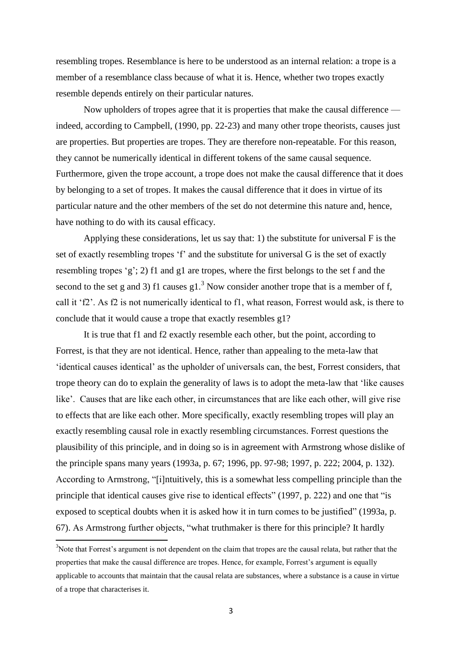resembling tropes. Resemblance is here to be understood as an internal relation: a trope is a member of a resemblance class because of what it is. Hence, whether two tropes exactly resemble depends entirely on their particular natures.

Now upholders of tropes agree that it is properties that make the causal difference indeed, according to Campbell, (1990, pp. 22-23) and many other trope theorists, causes just are properties. But properties are tropes. They are therefore non-repeatable. For this reason, they cannot be numerically identical in different tokens of the same causal sequence. Furthermore, given the trope account, a trope does not make the causal difference that it does by belonging to a set of tropes. It makes the causal difference that it does in virtue of its particular nature and the other members of the set do not determine this nature and, hence, have nothing to do with its causal efficacy.

Applying these considerations, let us say that: 1) the substitute for universal F is the set of exactly resembling tropes 'f' and the substitute for universal G is the set of exactly resembling tropes 'g'; 2) f1 and g1 are tropes, where the first belongs to the set f and the second to the set g and 3) f1 causes g1.<sup>3</sup> Now consider another trope that is a member of f, call it 'f2'. As f2 is not numerically identical to f1, what reason, Forrest would ask, is there to conclude that it would cause a trope that exactly resembles g1?

It is true that f1 and f2 exactly resemble each other, but the point, according to Forrest, is that they are not identical. Hence, rather than appealing to the meta-law that 'identical causes identical' as the upholder of universals can, the best, Forrest considers, that trope theory can do to explain the generality of laws is to adopt the meta-law that 'like causes like'. Causes that are like each other, in circumstances that are like each other, will give rise to effects that are like each other. More specifically, exactly resembling tropes will play an exactly resembling causal role in exactly resembling circumstances. Forrest questions the plausibility of this principle, and in doing so is in agreement with Armstrong whose dislike of the principle spans many years (1993a, p. 67; 1996, pp. 97-98; 1997, p. 222; 2004, p. 132). According to Armstrong, "[i]ntuitively, this is a somewhat less compelling principle than the principle that identical causes give rise to identical effects" (1997, p. 222) and one that "is exposed to sceptical doubts when it is asked how it in turn comes to be justified" (1993a, p. 67). As Armstrong further objects, "what truthmaker is there for this principle? It hardly

 $3$ Note that Forrest's argument is not dependent on the claim that tropes are the causal relata, but rather that the properties that make the causal difference are tropes. Hence, for example, Forrest's argument is equally applicable to accounts that maintain that the causal relata are substances, where a substance is a cause in virtue of a trope that characterises it.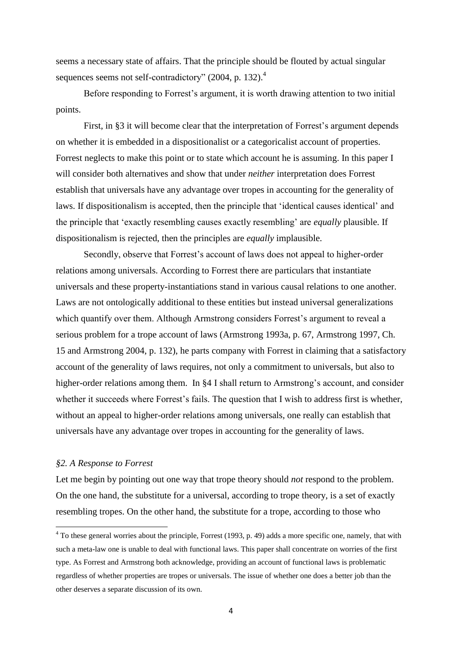seems a necessary state of affairs. That the principle should be flouted by actual singular sequences seems not self-contradictory" (2004, p. 132).<sup>4</sup>

Before responding to Forrest's argument, it is worth drawing attention to two initial points.

First, in §3 it will become clear that the interpretation of Forrest's argument depends on whether it is embedded in a dispositionalist or a categoricalist account of properties. Forrest neglects to make this point or to state which account he is assuming. In this paper I will consider both alternatives and show that under *neither* interpretation does Forrest establish that universals have any advantage over tropes in accounting for the generality of laws. If dispositionalism is accepted, then the principle that 'identical causes identical' and the principle that 'exactly resembling causes exactly resembling' are *equally* plausible. If dispositionalism is rejected, then the principles are *equally* implausible.

Secondly, observe that Forrest's account of laws does not appeal to higher-order relations among universals. According to Forrest there are particulars that instantiate universals and these property-instantiations stand in various causal relations to one another. Laws are not ontologically additional to these entities but instead universal generalizations which quantify over them. Although Armstrong considers Forrest's argument to reveal a serious problem for a trope account of laws (Armstrong 1993a, p. 67, Armstrong 1997, Ch. 15 and Armstrong 2004, p. 132), he parts company with Forrest in claiming that a satisfactory account of the generality of laws requires, not only a commitment to universals, but also to higher-order relations among them. In §4 I shall return to Armstrong's account, and consider whether it succeeds where Forrest's fails. The question that I wish to address first is whether, without an appeal to higher-order relations among universals, one really can establish that universals have any advantage over tropes in accounting for the generality of laws.

# *§2. A Response to Forrest*

1

Let me begin by pointing out one way that trope theory should *not* respond to the problem. On the one hand, the substitute for a universal, according to trope theory, is a set of exactly resembling tropes. On the other hand, the substitute for a trope, according to those who

 $4$  To these general worries about the principle, Forrest (1993, p. 49) adds a more specific one, namely, that with such a meta-law one is unable to deal with functional laws. This paper shall concentrate on worries of the first type. As Forrest and Armstrong both acknowledge, providing an account of functional laws is problematic regardless of whether properties are tropes or universals. The issue of whether one does a better job than the other deserves a separate discussion of its own.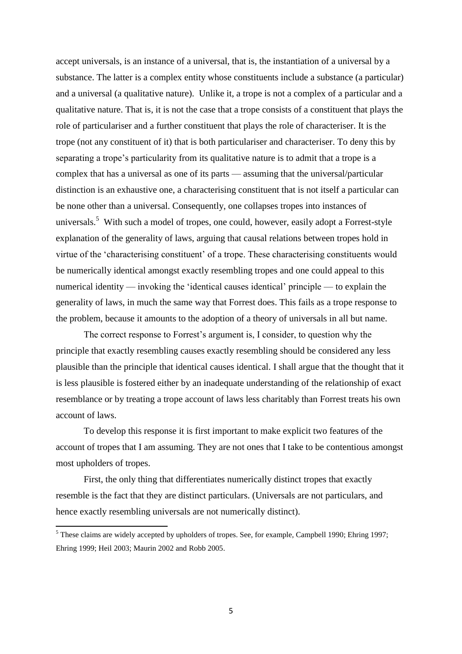accept universals, is an instance of a universal, that is, the instantiation of a universal by a substance. The latter is a complex entity whose constituents include a substance (a particular) and a universal (a qualitative nature). Unlike it, a trope is not a complex of a particular and a qualitative nature. That is, it is not the case that a trope consists of a constituent that plays the role of particulariser and a further constituent that plays the role of characteriser. It is the trope (not any constituent of it) that is both particulariser and characteriser. To deny this by separating a trope's particularity from its qualitative nature is to admit that a trope is a complex that has a universal as one of its parts — assuming that the universal/particular distinction is an exhaustive one, a characterising constituent that is not itself a particular can be none other than a universal. Consequently, one collapses tropes into instances of universals.<sup>5</sup> With such a model of tropes, one could, however, easily adopt a Forrest-style explanation of the generality of laws, arguing that causal relations between tropes hold in virtue of the 'characterising constituent' of a trope. These characterising constituents would be numerically identical amongst exactly resembling tropes and one could appeal to this numerical identity — invoking the 'identical causes identical' principle — to explain the generality of laws, in much the same way that Forrest does. This fails as a trope response to the problem, because it amounts to the adoption of a theory of universals in all but name.

The correct response to Forrest's argument is, I consider, to question why the principle that exactly resembling causes exactly resembling should be considered any less plausible than the principle that identical causes identical. I shall argue that the thought that it is less plausible is fostered either by an inadequate understanding of the relationship of exact resemblance or by treating a trope account of laws less charitably than Forrest treats his own account of laws.

To develop this response it is first important to make explicit two features of the account of tropes that I am assuming. They are not ones that I take to be contentious amongst most upholders of tropes.

First, the only thing that differentiates numerically distinct tropes that exactly resemble is the fact that they are distinct particulars. (Universals are not particulars, and hence exactly resembling universals are not numerically distinct).

 $<sup>5</sup>$  These claims are widely accepted by upholders of tropes. See, for example, Campbell 1990; Ehring 1997;</sup> Ehring 1999; Heil 2003; Maurin 2002 and Robb 2005.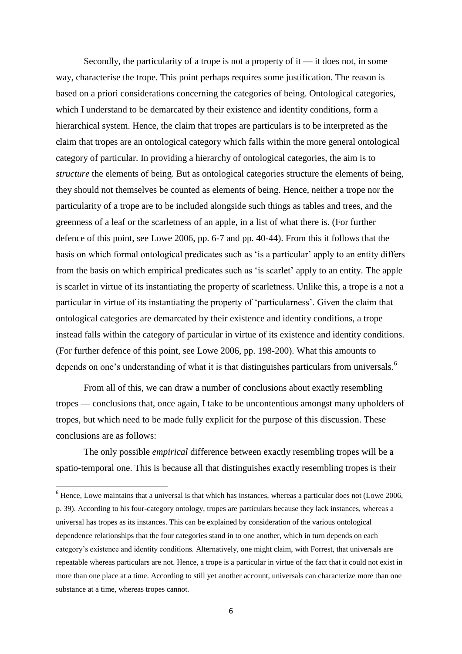Secondly, the particularity of a trope is not a property of it  $-$  it does not, in some way, characterise the trope. This point perhaps requires some justification. The reason is based on a priori considerations concerning the categories of being. Ontological categories, which I understand to be demarcated by their existence and identity conditions, form a hierarchical system. Hence, the claim that tropes are particulars is to be interpreted as the claim that tropes are an ontological category which falls within the more general ontological category of particular. In providing a hierarchy of ontological categories, the aim is to *structure* the elements of being. But as ontological categories structure the elements of being, they should not themselves be counted as elements of being. Hence, neither a trope nor the particularity of a trope are to be included alongside such things as tables and trees, and the greenness of a leaf or the scarletness of an apple, in a list of what there is. (For further defence of this point, see Lowe 2006, pp. 6-7 and pp. 40-44). From this it follows that the basis on which formal ontological predicates such as 'is a particular' apply to an entity differs from the basis on which empirical predicates such as 'is scarlet' apply to an entity. The apple is scarlet in virtue of its instantiating the property of scarletness. Unlike this, a trope is a not a particular in virtue of its instantiating the property of 'particularness'. Given the claim that ontological categories are demarcated by their existence and identity conditions, a trope instead falls within the category of particular in virtue of its existence and identity conditions. (For further defence of this point, see Lowe 2006, pp. 198-200). What this amounts to depends on one's understanding of what it is that distinguishes particulars from universals.<sup>6</sup>

From all of this, we can draw a number of conclusions about exactly resembling tropes — conclusions that, once again, I take to be uncontentious amongst many upholders of tropes, but which need to be made fully explicit for the purpose of this discussion. These conclusions are as follows:

The only possible *empirical* difference between exactly resembling tropes will be a spatio-temporal one. This is because all that distinguishes exactly resembling tropes is their

<sup>&</sup>lt;sup>6</sup> Hence, Lowe maintains that a universal is that which has instances, whereas a particular does not (Lowe 2006, p. 39). According to his four-category ontology, tropes are particulars because they lack instances, whereas a universal has tropes as its instances. This can be explained by consideration of the various ontological dependence relationships that the four categories stand in to one another, which in turn depends on each category's existence and identity conditions. Alternatively, one might claim, with Forrest, that universals are repeatable whereas particulars are not. Hence, a trope is a particular in virtue of the fact that it could not exist in more than one place at a time. According to still yet another account, universals can characterize more than one substance at a time, whereas tropes cannot.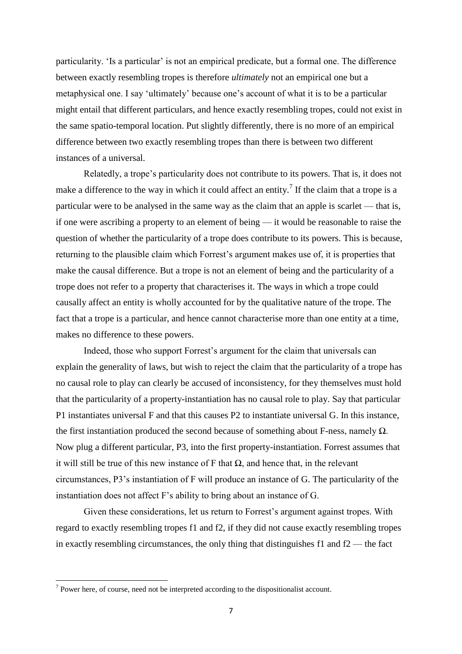particularity. 'Is a particular' is not an empirical predicate, but a formal one. The difference between exactly resembling tropes is therefore *ultimately* not an empirical one but a metaphysical one. I say 'ultimately' because one's account of what it is to be a particular might entail that different particulars, and hence exactly resembling tropes, could not exist in the same spatio-temporal location. Put slightly differently, there is no more of an empirical difference between two exactly resembling tropes than there is between two different instances of a universal.

Relatedly, a trope's particularity does not contribute to its powers. That is, it does not make a difference to the way in which it could affect an entity.<sup>7</sup> If the claim that a trope is a particular were to be analysed in the same way as the claim that an apple is scarlet — that is, if one were ascribing a property to an element of being — it would be reasonable to raise the question of whether the particularity of a trope does contribute to its powers. This is because, returning to the plausible claim which Forrest's argument makes use of, it is properties that make the causal difference. But a trope is not an element of being and the particularity of a trope does not refer to a property that characterises it. The ways in which a trope could causally affect an entity is wholly accounted for by the qualitative nature of the trope. The fact that a trope is a particular, and hence cannot characterise more than one entity at a time, makes no difference to these powers.

Indeed, those who support Forrest's argument for the claim that universals can explain the generality of laws, but wish to reject the claim that the particularity of a trope has no causal role to play can clearly be accused of inconsistency, for they themselves must hold that the particularity of a property-instantiation has no causal role to play. Say that particular P1 instantiates universal F and that this causes P2 to instantiate universal G. In this instance, the first instantiation produced the second because of something about F-ness, namely  $\Omega$ . Now plug a different particular, P3, into the first property-instantiation. Forrest assumes that it will still be true of this new instance of F that Ω, and hence that, in the relevant circumstances, P3's instantiation of F will produce an instance of G. The particularity of the instantiation does not affect F's ability to bring about an instance of G.

Given these considerations, let us return to Forrest's argument against tropes. With regard to exactly resembling tropes f1 and f2, if they did not cause exactly resembling tropes in exactly resembling circumstances, the only thing that distinguishes f1 and  $f2$  — the fact

The Term of course, need not be interpreted according to the dispositionalist account.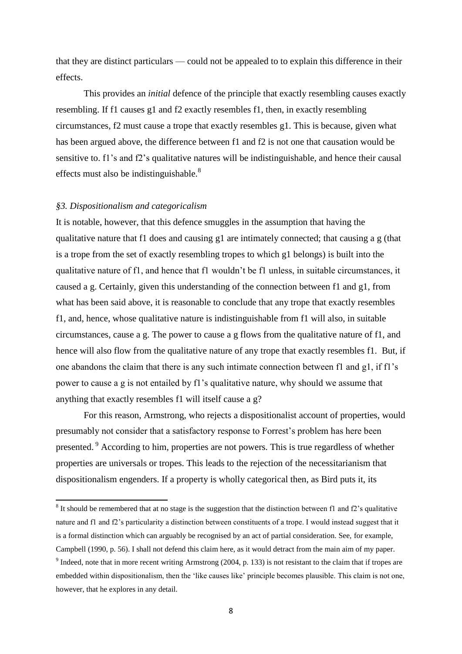that they are distinct particulars — could not be appealed to to explain this difference in their effects.

This provides an *initial* defence of the principle that exactly resembling causes exactly resembling. If f1 causes g1 and f2 exactly resembles f1, then, in exactly resembling circumstances, f2 must cause a trope that exactly resembles g1. This is because, given what has been argued above, the difference between f1 and f2 is not one that causation would be sensitive to. f1's and f2's qualitative natures will be indistinguishable, and hence their causal effects must also be indistinguishable. $8<sup>8</sup>$ 

### *§3. Dispositionalism and categoricalism*

It is notable, however, that this defence smuggles in the assumption that having the qualitative nature that f1 does and causing g1 are intimately connected; that causing a g (that is a trope from the set of exactly resembling tropes to which g1 belongs) is built into the qualitative nature of f1, and hence that f1 wouldn't be f1 unless, in suitable circumstances, it caused a g. Certainly, given this understanding of the connection between f1 and g1, from what has been said above, it is reasonable to conclude that any trope that exactly resembles f1, and, hence, whose qualitative nature is indistinguishable from f1 will also, in suitable circumstances, cause a g. The power to cause a g flows from the qualitative nature of f1, and hence will also flow from the qualitative nature of any trope that exactly resembles f1. But, if one abandons the claim that there is any such intimate connection between f1 and g1, if f1's power to cause a g is not entailed by f1's qualitative nature, why should we assume that anything that exactly resembles f1 will itself cause a g?

For this reason, Armstrong, who rejects a dispositionalist account of properties, would presumably not consider that a satisfactory response to Forrest's problem has here been presented. <sup>9</sup> According to him, properties are not powers. This is true regardless of whether properties are universals or tropes. This leads to the rejection of the necessitarianism that dispositionalism engenders. If a property is wholly categorical then, as Bird puts it, its

 $\frac{1}{8}$  It should be remembered that at no stage is the suggestion that the distinction between f1 and f2's qualitative nature and f1 and f2's particularity a distinction between constituents of a trope. I would instead suggest that it is a formal distinction which can arguably be recognised by an act of partial consideration. See, for example, Campbell (1990, p. 56). I shall not defend this claim here, as it would detract from the main aim of my paper. <sup>9</sup> Indeed, note that in more recent writing Armstrong (2004, p. 133) is not resistant to the claim that if tropes are embedded within dispositionalism, then the 'like causes like' principle becomes plausible. This claim is not one, however, that he explores in any detail.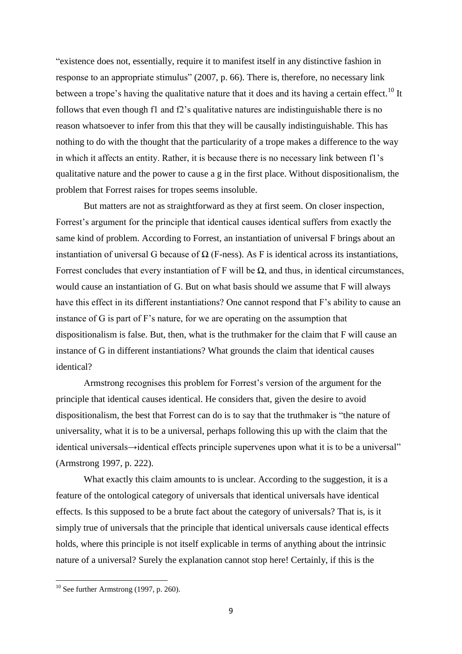"existence does not, essentially, require it to manifest itself in any distinctive fashion in response to an appropriate stimulus" (2007, p. 66). There is, therefore, no necessary link between a trope's having the qualitative nature that it does and its having a certain effect.<sup>10</sup> It follows that even though f1 and f2's qualitative natures are indistinguishable there is no reason whatsoever to infer from this that they will be causally indistinguishable. This has nothing to do with the thought that the particularity of a trope makes a difference to the way in which it affects an entity. Rather, it is because there is no necessary link between f1's qualitative nature and the power to cause a g in the first place. Without dispositionalism, the problem that Forrest raises for tropes seems insoluble.

But matters are not as straightforward as they at first seem. On closer inspection, Forrest's argument for the principle that identical causes identical suffers from exactly the same kind of problem. According to Forrest, an instantiation of universal F brings about an instantiation of universal G because of Ω (F-ness). As F is identical across its instantiations, Forrest concludes that every instantiation of F will be  $\Omega$ , and thus, in identical circumstances, would cause an instantiation of G. But on what basis should we assume that F will always have this effect in its different instantiations? One cannot respond that F's ability to cause an instance of G is part of F's nature, for we are operating on the assumption that dispositionalism is false. But, then, what is the truthmaker for the claim that F will cause an instance of G in different instantiations? What grounds the claim that identical causes identical?

Armstrong recognises this problem for Forrest's version of the argument for the principle that identical causes identical. He considers that, given the desire to avoid dispositionalism, the best that Forrest can do is to say that the truthmaker is "the nature of universality, what it is to be a universal, perhaps following this up with the claim that the identical universals→identical effects principle supervenes upon what it is to be a universal" (Armstrong 1997, p. 222).

What exactly this claim amounts to is unclear. According to the suggestion, it is a feature of the ontological category of universals that identical universals have identical effects. Is this supposed to be a brute fact about the category of universals? That is, is it simply true of universals that the principle that identical universals cause identical effects holds, where this principle is not itself explicable in terms of anything about the intrinsic nature of a universal? Surely the explanation cannot stop here! Certainly, if this is the

 $10$  See further Armstrong (1997, p. 260).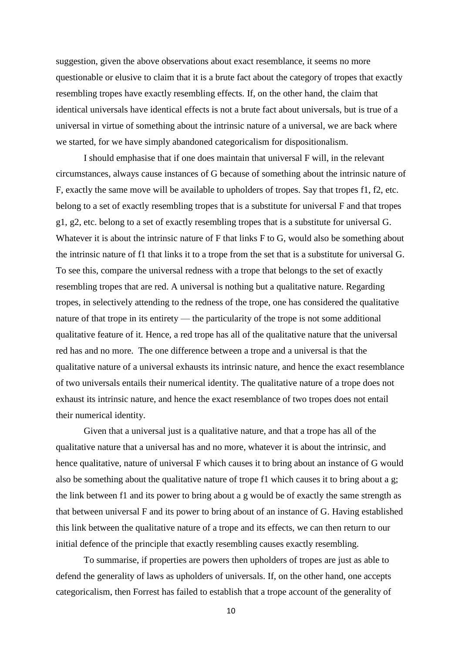suggestion, given the above observations about exact resemblance, it seems no more questionable or elusive to claim that it is a brute fact about the category of tropes that exactly resembling tropes have exactly resembling effects. If, on the other hand, the claim that identical universals have identical effects is not a brute fact about universals, but is true of a universal in virtue of something about the intrinsic nature of a universal, we are back where we started, for we have simply abandoned categoricalism for dispositionalism.

I should emphasise that if one does maintain that universal F will, in the relevant circumstances, always cause instances of G because of something about the intrinsic nature of F, exactly the same move will be available to upholders of tropes. Say that tropes f1, f2, etc. belong to a set of exactly resembling tropes that is a substitute for universal F and that tropes g1, g2, etc. belong to a set of exactly resembling tropes that is a substitute for universal G. Whatever it is about the intrinsic nature of F that links F to G, would also be something about the intrinsic nature of f1 that links it to a trope from the set that is a substitute for universal G. To see this, compare the universal redness with a trope that belongs to the set of exactly resembling tropes that are red. A universal is nothing but a qualitative nature. Regarding tropes, in selectively attending to the redness of the trope, one has considered the qualitative nature of that trope in its entirety — the particularity of the trope is not some additional qualitative feature of it. Hence, a red trope has all of the qualitative nature that the universal red has and no more. The one difference between a trope and a universal is that the qualitative nature of a universal exhausts its intrinsic nature, and hence the exact resemblance of two universals entails their numerical identity. The qualitative nature of a trope does not exhaust its intrinsic nature, and hence the exact resemblance of two tropes does not entail their numerical identity.

Given that a universal just is a qualitative nature, and that a trope has all of the qualitative nature that a universal has and no more, whatever it is about the intrinsic, and hence qualitative, nature of universal F which causes it to bring about an instance of G would also be something about the qualitative nature of trope f1 which causes it to bring about a g; the link between f1 and its power to bring about a g would be of exactly the same strength as that between universal F and its power to bring about of an instance of G. Having established this link between the qualitative nature of a trope and its effects, we can then return to our initial defence of the principle that exactly resembling causes exactly resembling.

To summarise, if properties are powers then upholders of tropes are just as able to defend the generality of laws as upholders of universals. If, on the other hand, one accepts categoricalism, then Forrest has failed to establish that a trope account of the generality of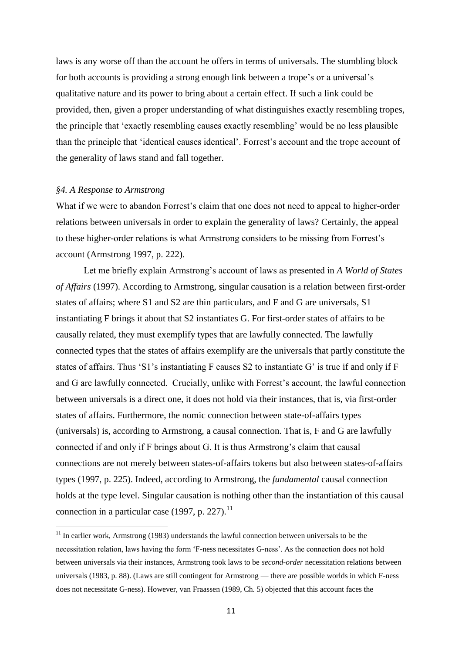laws is any worse off than the account he offers in terms of universals. The stumbling block for both accounts is providing a strong enough link between a trope's or a universal's qualitative nature and its power to bring about a certain effect. If such a link could be provided, then, given a proper understanding of what distinguishes exactly resembling tropes, the principle that 'exactly resembling causes exactly resembling' would be no less plausible than the principle that 'identical causes identical'. Forrest's account and the trope account of the generality of laws stand and fall together.

### *§4. A Response to Armstrong*

1

What if we were to abandon Forrest's claim that one does not need to appeal to higher-order relations between universals in order to explain the generality of laws? Certainly, the appeal to these higher-order relations is what Armstrong considers to be missing from Forrest's account (Armstrong 1997, p. 222).

Let me briefly explain Armstrong's account of laws as presented in *A World of States of Affairs* (1997). According to Armstrong, singular causation is a relation between first-order states of affairs; where S1 and S2 are thin particulars, and F and G are universals, S1 instantiating F brings it about that S2 instantiates G. For first-order states of affairs to be causally related, they must exemplify types that are lawfully connected. The lawfully connected types that the states of affairs exemplify are the universals that partly constitute the states of affairs. Thus 'S1's instantiating F causes S2 to instantiate G' is true if and only if F and G are lawfully connected. Crucially, unlike with Forrest's account, the lawful connection between universals is a direct one, it does not hold via their instances, that is, via first-order states of affairs. Furthermore, the nomic connection between state-of-affairs types (universals) is, according to Armstrong, a causal connection. That is, F and G are lawfully connected if and only if F brings about G. It is thus Armstrong's claim that causal connections are not merely between states-of-affairs tokens but also between states-of-affairs types (1997, p. 225). Indeed, according to Armstrong, the *fundamental* causal connection holds at the type level. Singular causation is nothing other than the instantiation of this causal connection in a particular case (1997, p. 227).<sup>11</sup>

 $11$  In earlier work, Armstrong (1983) understands the lawful connection between universals to be the necessitation relation, laws having the form 'F-ness necessitates G-ness'. As the connection does not hold between universals via their instances, Armstrong took laws to be *second-order* necessitation relations between universals (1983, p. 88). (Laws are still contingent for Armstrong — there are possible worlds in which F-ness does not necessitate G-ness). However, van Fraassen (1989, Ch. 5) objected that this account faces the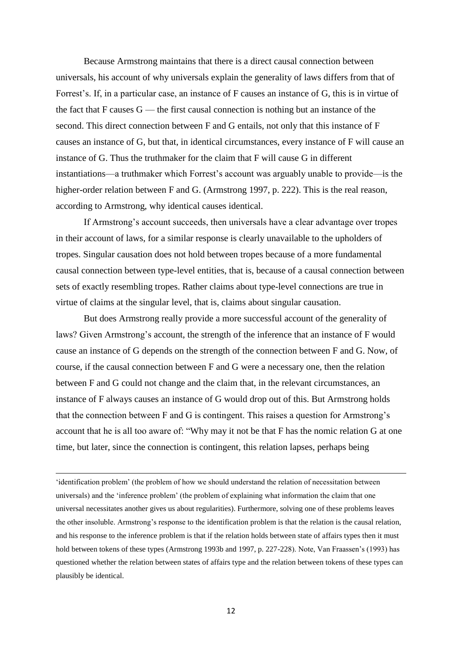Because Armstrong maintains that there is a direct causal connection between universals, his account of why universals explain the generality of laws differs from that of Forrest's. If, in a particular case, an instance of F causes an instance of G, this is in virtue of the fact that  $F$  causes  $G$  — the first causal connection is nothing but an instance of the second. This direct connection between F and G entails, not only that this instance of F causes an instance of G, but that, in identical circumstances, every instance of F will cause an instance of G. Thus the truthmaker for the claim that F will cause G in different instantiations—a truthmaker which Forrest's account was arguably unable to provide—is the higher-order relation between F and G. (Armstrong 1997, p. 222). This is the real reason, according to Armstrong, why identical causes identical.

If Armstrong's account succeeds, then universals have a clear advantage over tropes in their account of laws, for a similar response is clearly unavailable to the upholders of tropes. Singular causation does not hold between tropes because of a more fundamental causal connection between type-level entities, that is, because of a causal connection between sets of exactly resembling tropes. Rather claims about type-level connections are true in virtue of claims at the singular level, that is, claims about singular causation.

But does Armstrong really provide a more successful account of the generality of laws? Given Armstrong's account, the strength of the inference that an instance of F would cause an instance of G depends on the strength of the connection between F and G. Now, of course, if the causal connection between F and G were a necessary one, then the relation between F and G could not change and the claim that, in the relevant circumstances, an instance of F always causes an instance of G would drop out of this. But Armstrong holds that the connection between F and G is contingent. This raises a question for Armstrong's account that he is all too aware of: "Why may it not be that F has the nomic relation G at one time, but later, since the connection is contingent, this relation lapses, perhaps being

'identification problem' (the problem of how we should understand the relation of necessitation between universals) and the 'inference problem' (the problem of explaining what information the claim that one universal necessitates another gives us about regularities). Furthermore, solving one of these problems leaves the other insoluble. Armstrong's response to the identification problem is that the relation is the causal relation, and his response to the inference problem is that if the relation holds between state of affairs types then it must hold between tokens of these types (Armstrong 1993b and 1997, p. 227-228). Note, Van Fraassen's (1993) has questioned whether the relation between states of affairs type and the relation between tokens of these types can plausibly be identical.

**.**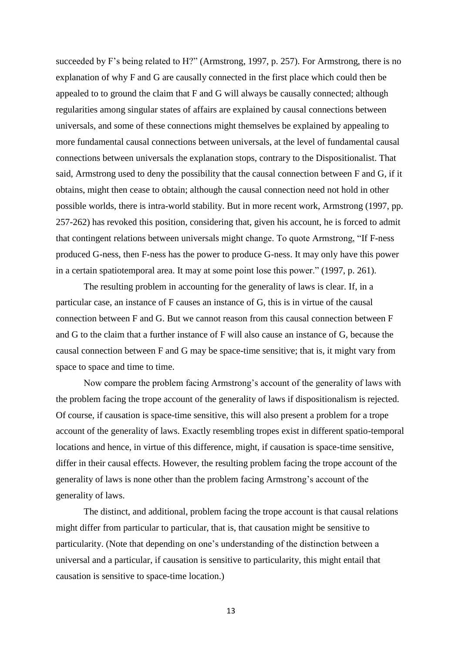succeeded by F's being related to H?" (Armstrong, 1997, p. 257). For Armstrong, there is no explanation of why F and G are causally connected in the first place which could then be appealed to to ground the claim that F and G will always be causally connected; although regularities among singular states of affairs are explained by causal connections between universals, and some of these connections might themselves be explained by appealing to more fundamental causal connections between universals, at the level of fundamental causal connections between universals the explanation stops, contrary to the Dispositionalist. That said, Armstrong used to deny the possibility that the causal connection between F and G, if it obtains, might then cease to obtain; although the causal connection need not hold in other possible worlds, there is intra-world stability. But in more recent work, Armstrong (1997, pp. 257-262) has revoked this position, considering that, given his account, he is forced to admit that contingent relations between universals might change. To quote Armstrong, "If F-ness produced G-ness, then F-ness has the power to produce G-ness. It may only have this power in a certain spatiotemporal area. It may at some point lose this power." (1997, p. 261).

The resulting problem in accounting for the generality of laws is clear. If, in a particular case, an instance of F causes an instance of G, this is in virtue of the causal connection between F and G. But we cannot reason from this causal connection between F and G to the claim that a further instance of F will also cause an instance of G, because the causal connection between F and G may be space-time sensitive; that is, it might vary from space to space and time to time.

Now compare the problem facing Armstrong's account of the generality of laws with the problem facing the trope account of the generality of laws if dispositionalism is rejected. Of course, if causation is space-time sensitive, this will also present a problem for a trope account of the generality of laws. Exactly resembling tropes exist in different spatio-temporal locations and hence, in virtue of this difference, might, if causation is space-time sensitive, differ in their causal effects. However, the resulting problem facing the trope account of the generality of laws is none other than the problem facing Armstrong's account of the generality of laws.

The distinct, and additional, problem facing the trope account is that causal relations might differ from particular to particular, that is, that causation might be sensitive to particularity. (Note that depending on one's understanding of the distinction between a universal and a particular, if causation is sensitive to particularity, this might entail that causation is sensitive to space-time location.)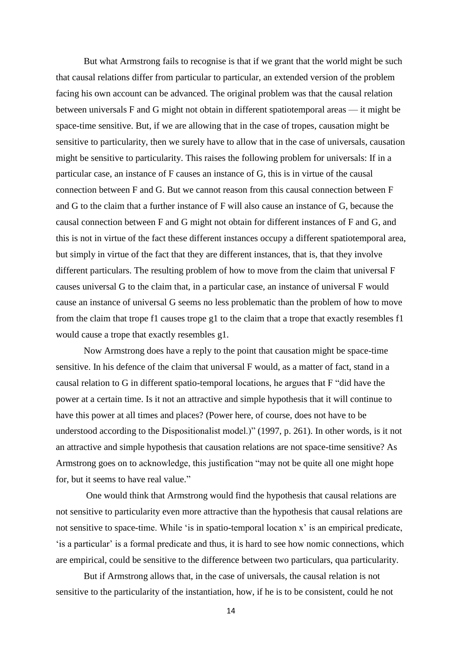But what Armstrong fails to recognise is that if we grant that the world might be such that causal relations differ from particular to particular, an extended version of the problem facing his own account can be advanced. The original problem was that the causal relation between universals F and G might not obtain in different spatiotemporal areas — it might be space-time sensitive. But, if we are allowing that in the case of tropes, causation might be sensitive to particularity, then we surely have to allow that in the case of universals, causation might be sensitive to particularity. This raises the following problem for universals: If in a particular case, an instance of F causes an instance of G, this is in virtue of the causal connection between F and G. But we cannot reason from this causal connection between F and G to the claim that a further instance of F will also cause an instance of G, because the causal connection between F and G might not obtain for different instances of F and G, and this is not in virtue of the fact these different instances occupy a different spatiotemporal area, but simply in virtue of the fact that they are different instances, that is, that they involve different particulars. The resulting problem of how to move from the claim that universal F causes universal G to the claim that, in a particular case, an instance of universal F would cause an instance of universal G seems no less problematic than the problem of how to move from the claim that trope f1 causes trope g1 to the claim that a trope that exactly resembles f1 would cause a trope that exactly resembles g1.

Now Armstrong does have a reply to the point that causation might be space-time sensitive. In his defence of the claim that universal F would, as a matter of fact, stand in a causal relation to G in different spatio-temporal locations, he argues that F "did have the power at a certain time. Is it not an attractive and simple hypothesis that it will continue to have this power at all times and places? (Power here, of course, does not have to be understood according to the Dispositionalist model.)" (1997, p. 261). In other words, is it not an attractive and simple hypothesis that causation relations are not space-time sensitive? As Armstrong goes on to acknowledge, this justification "may not be quite all one might hope for, but it seems to have real value."

One would think that Armstrong would find the hypothesis that causal relations are not sensitive to particularity even more attractive than the hypothesis that causal relations are not sensitive to space-time. While 'is in spatio-temporal location x' is an empirical predicate, 'is a particular' is a formal predicate and thus, it is hard to see how nomic connections, which are empirical, could be sensitive to the difference between two particulars, qua particularity.

But if Armstrong allows that, in the case of universals, the causal relation is not sensitive to the particularity of the instantiation, how, if he is to be consistent, could he not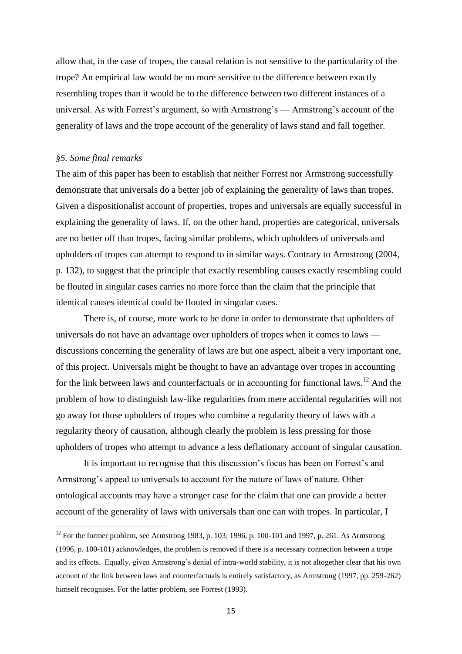allow that, in the case of tropes, the causal relation is not sensitive to the particularity of the trope? An empirical law would be no more sensitive to the difference between exactly resembling tropes than it would be to the difference between two different instances of a universal. As with Forrest's argument, so with Armstrong's — Armstrong's account of the generality of laws and the trope account of the generality of laws stand and fall together.

### *§5. Some final remarks*

1

The aim of this paper has been to establish that neither Forrest nor Armstrong successfully demonstrate that universals do a better job of explaining the generality of laws than tropes. Given a dispositionalist account of properties, tropes and universals are equally successful in explaining the generality of laws. If, on the other hand, properties are categorical, universals are no better off than tropes, facing similar problems, which upholders of universals and upholders of tropes can attempt to respond to in similar ways. Contrary to Armstrong (2004, p. 132), to suggest that the principle that exactly resembling causes exactly resembling could be flouted in singular cases carries no more force than the claim that the principle that identical causes identical could be flouted in singular cases.

There is, of course, more work to be done in order to demonstrate that upholders of universals do not have an advantage over upholders of tropes when it comes to laws discussions concerning the generality of laws are but one aspect, albeit a very important one, of this project. Universals might be thought to have an advantage over tropes in accounting for the link between laws and counterfactuals or in accounting for functional laws.<sup>12</sup> And the problem of how to distinguish law-like regularities from mere accidental regularities will not go away for those upholders of tropes who combine a regularity theory of laws with a regularity theory of causation, although clearly the problem is less pressing for those upholders of tropes who attempt to advance a less deflationary account of singular causation.

It is important to recognise that this discussion's focus has been on Forrest's and Armstrong's appeal to universals to account for the nature of laws of nature. Other ontological accounts may have a stronger case for the claim that one can provide a better account of the generality of laws with universals than one can with tropes. In particular, I

 $12$  For the former problem, see Armstrong 1983, p. 103; 1996, p. 100-101 and 1997, p. 261. As Armstrong (1996, p. 100-101) acknowledges, the problem is removed if there is a necessary connection between a trope and its effects. Equally, given Armstrong's denial of intra-world stability, it is not altogether clear that his own account of the link between laws and counterfactuals is entirely satisfactory, as Armstrong (1997, pp. 259-262) himself recognises. For the latter problem, see Forrest (1993).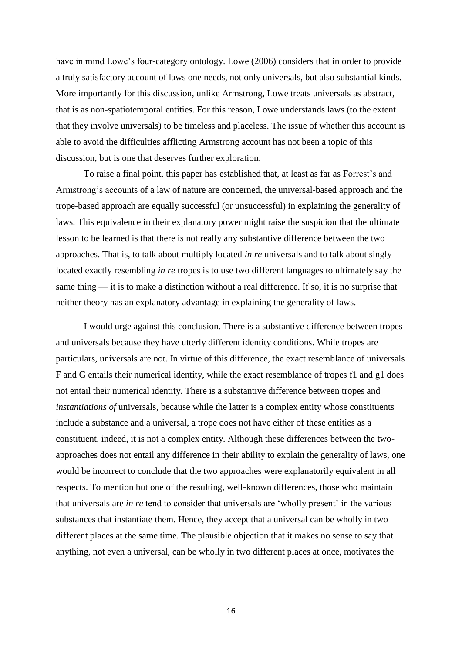have in mind Lowe's four-category ontology. Lowe (2006) considers that in order to provide a truly satisfactory account of laws one needs, not only universals, but also substantial kinds. More importantly for this discussion, unlike Armstrong, Lowe treats universals as abstract, that is as non-spatiotemporal entities. For this reason, Lowe understands laws (to the extent that they involve universals) to be timeless and placeless. The issue of whether this account is able to avoid the difficulties afflicting Armstrong account has not been a topic of this discussion, but is one that deserves further exploration.

To raise a final point, this paper has established that, at least as far as Forrest's and Armstrong's accounts of a law of nature are concerned, the universal-based approach and the trope-based approach are equally successful (or unsuccessful) in explaining the generality of laws. This equivalence in their explanatory power might raise the suspicion that the ultimate lesson to be learned is that there is not really any substantive difference between the two approaches. That is, to talk about multiply located *in re* universals and to talk about singly located exactly resembling *in re* tropes is to use two different languages to ultimately say the same thing — it is to make a distinction without a real difference. If so, it is no surprise that neither theory has an explanatory advantage in explaining the generality of laws.

I would urge against this conclusion. There is a substantive difference between tropes and universals because they have utterly different identity conditions. While tropes are particulars, universals are not. In virtue of this difference, the exact resemblance of universals F and G entails their numerical identity, while the exact resemblance of tropes f1 and g1 does not entail their numerical identity. There is a substantive difference between tropes and *instantiations of* universals, because while the latter is a complex entity whose constituents include a substance and a universal, a trope does not have either of these entities as a constituent, indeed, it is not a complex entity. Although these differences between the twoapproaches does not entail any difference in their ability to explain the generality of laws, one would be incorrect to conclude that the two approaches were explanatorily equivalent in all respects. To mention but one of the resulting, well-known differences, those who maintain that universals are *in re* tend to consider that universals are 'wholly present' in the various substances that instantiate them. Hence, they accept that a universal can be wholly in two different places at the same time. The plausible objection that it makes no sense to say that anything, not even a universal, can be wholly in two different places at once, motivates the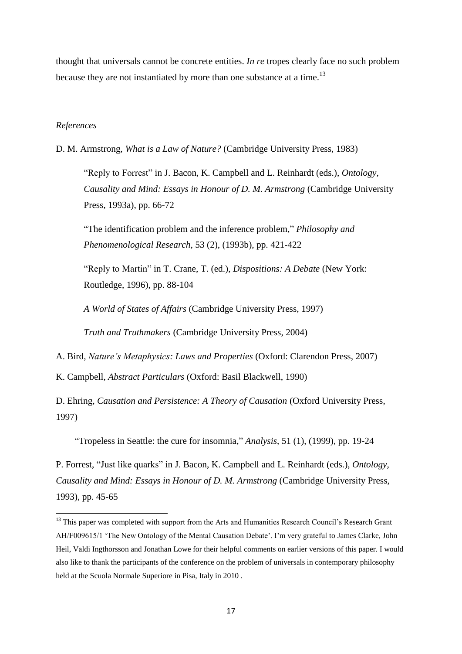thought that universals cannot be concrete entities. *In re* tropes clearly face no such problem because they are not instantiated by more than one substance at a time.<sup>13</sup>

### *References*

 $\overline{a}$ 

D. M. Armstrong, *What is a Law of Nature?* (Cambridge University Press, 1983)

"Reply to Forrest" in J. Bacon, K. Campbell and L. Reinhardt (eds.), *Ontology, Causality and Mind: Essays in Honour of D. M. Armstrong* (Cambridge University Press, 1993a), pp. 66-72

"The identification problem and the inference problem," *Philosophy and Phenomenological Research*, 53 (2), (1993b), pp. 421-422

"Reply to Martin" in T. Crane, T. (ed.), *Dispositions: A Debate* (New York: Routledge, 1996), pp. 88-104

*A World of States of Affairs* (Cambridge University Press, 1997)

*Truth and Truthmakers* (Cambridge University Press, 2004)

A. Bird, *Nature's Metaphysics: Laws and Properties* (Oxford: Clarendon Press, 2007)

K. Campbell, *Abstract Particulars* (Oxford: Basil Blackwell, 1990)

D. Ehring, *Causation and Persistence: A Theory of Causation* (Oxford University Press, 1997)

"Tropeless in Seattle: the cure for insomnia," *Analysis*, 51 (1), (1999), pp. 19-24

P. Forrest, "Just like quarks" in J. Bacon, K. Campbell and L. Reinhardt (eds.), *Ontology, Causality and Mind: Essays in Honour of D. M. Armstrong* (Cambridge University Press, 1993), pp. 45-65

<sup>&</sup>lt;sup>13</sup> This paper was completed with support from the Arts and Humanities Research Council's Research Grant AH/F009615/1 'The New Ontology of the Mental Causation Debate'. I'm very grateful to James Clarke, John Heil, Valdi Ingthorsson and Jonathan Lowe for their helpful comments on earlier versions of this paper. I would also like to thank the participants of the conference on the problem of universals in contemporary philosophy held at the Scuola Normale Superiore in Pisa, Italy in 2010 .